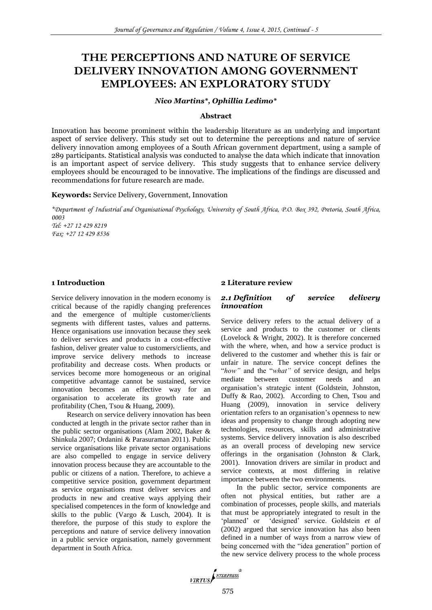# **THE PERCEPTIONS AND NATURE OF SERVICE DELIVERY INNOVATION AMONG GOVERNMENT EMPLOYEES: AN EXPLORATORY STUDY**

#### *Nico Martins\*, Ophillia Ledimo\**

#### **Abstract**

Innovation has become prominent within the leadership literature as an underlying and important aspect of service delivery. This study set out to determine the perceptions and nature of service delivery innovation among employees of a South African government department, using a sample of 289 participants. Statistical analysis was conducted to analyse the data which indicate that innovation is an important aspect of service delivery. This study suggests that to enhance service delivery employees should be encouraged to be innovative. The implications of the findings are discussed and recommendations for future research are made.

**Keywords:** Service Delivery, Government, Innovation

*\*Department of Industrial and Organisational Psychology, University of South Africa, P.O. Box 392, Pretoria, South Africa, 0003 Tel: +27 12 429 8219 Fax: +27 12 429 8536*

# **1 Introduction**

Service delivery innovation in the modern economy is critical because of the rapidly changing preferences and the emergence of multiple customer/clients segments with different tastes, values and patterns. Hence organisations use innovation because they seek to deliver services and products in a cost-effective fashion, deliver greater value to customers/clients, and improve service delivery methods to increase profitability and decrease costs. When products or services become more homogeneous or an original competitive advantage cannot be sustained, service innovation becomes an effective way for an organisation to accelerate its growth rate and profitability (Chen, Tsou & Huang, 2009).

Research on service delivery innovation has been conducted at length in the private sector rather than in the public sector organisations (Alam 2002, Baker & Shinkula 2007; Ordanini & Parasuraman 2011). Public service organisations like private sector organisations are also compelled to engage in service delivery innovation process because they are accountable to the public or citizens of a nation. Therefore, to achieve a competitive service position, government department as service organisations must deliver services and products in new and creative ways applying their specialised competences in the form of knowledge and skills to the public (Vargo & Lusch, 2004). It is therefore, the purpose of this study to explore the perceptions and nature of service delivery innovation in a public service organisation, namely government department in South Africa.

## **2 Literature review**

#### *2.1 Definition of service delivery innovation*

Service delivery refers to the actual delivery of a service and products to the customer or clients (Lovelock & Wright, 2002). It is therefore concerned with the where, when, and how a service product is delivered to the customer and whether this is fair or unfair in nature. The service concept defines the "*how"* and the "*what"* of service design, and helps mediate between customer needs and an organisation's strategic intent (Goldstein, Johnston, Duffy & Rao, 2002). According to Chen, Tsou and Huang (2009), innovation in service delivery orientation refers to an organisation's openness to new ideas and propensity to change through adopting new technologies, resources, skills and administrative systems. Service delivery innovation is also described as an overall process of developing new service offerings in the organisation (Johnston & Clark, 2001). Innovation drivers are similar in product and service contexts, at most differing in relative importance between the two environments.

In the public sector, service components are often not physical entities, but rather are a combination of processes, people skills, and materials that must be appropriately integrated to result in the 'planned' or 'designed' service. Goldstein *et al*  (2002) argued that service innovation has also been defined in a number of ways from a narrow view of being concerned with the "idea generation" portion of the new service delivery process to the whole process

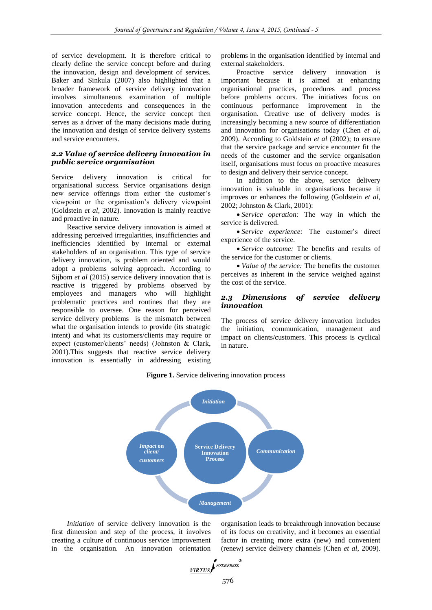of service development. It is therefore critical to clearly define the service concept before and during the innovation, design and development of services. Baker and Sinkula (2007) also highlighted that a broader framework of service delivery innovation involves simultaneous examination of multiple innovation antecedents and consequences in the service concept. Hence, the service concept then serves as a driver of the many decisions made during the innovation and design of service delivery systems and service encounters.

#### *2.2 Value of service delivery innovation in public service organisation*

Service delivery innovation is critical for organisational success. Service organisations design new service offerings from either the customer's viewpoint or the organisation's delivery viewpoint (Goldstein *et al*, 2002). Innovation is mainly reactive and proactive in nature.

Reactive service delivery innovation is aimed at addressing perceived irregularities, insufficiencies and inefficiencies identified by internal or external stakeholders of an organisation. This type of service delivery innovation, is problem oriented and would adopt a problems solving approach. According to Sijbom *et al* (2015) service delivery innovation that is reactive is triggered by problems observed by employees and managers who will highlight problematic practices and routines that they are responsible to oversee. One reason for perceived service delivery problems is the mismatch between what the organisation intends to provide (its strategic intent) and what its customers/clients may require or expect (customer/clients' needs) (Johnston & Clark, 2001).This suggests that reactive service delivery innovation is essentially in addressing existing

problems in the organisation identified by internal and external stakeholders.

Proactive service delivery innovation is important because it is aimed at enhancing organisational practices, procedures and process before problems occurs. The initiatives focus on continuous performance improvement in the organisation. Creative use of delivery modes is increasingly becoming a new source of differentiation and innovation for organisations today (Chen *et al*, 2009). According to Goldstein *et al* (2002); to ensure that the service package and service encounter fit the needs of the customer and the service organisation itself, organisations must focus on proactive measures to design and delivery their service concept.

In addition to the above, service delivery innovation is valuable in organisations because it improves or enhances the following (Goldstein *et al,* 2002; Johnston & Clark, 2001):

 *Service operation:* The way in which the service is delivered.

 *Service experience:* The customer's direct experience of the service.

 *Service outcome:* The benefits and results of the service for the customer or clients.

 *Value of the service:* The benefits the customer perceives as inherent in the service weighed against the cost of the service.

#### *2.3 Dimensions of service delivery innovation*

The process of service delivery innovation includes the initiation, communication, management and impact on clients/customers. This process is cyclical in nature.



Figure 1. Service delivering innovation process

*Initiation* of service delivery innovation is the first dimension and step of the process, it involves creating a culture of continuous service improvement in the organisation. An innovation orientation organisation leads to breakthrough innovation because of its focus on creativity, and it becomes an essential factor in creating more extra (new) and convenient (renew) service delivery channels (Chen *et al*, 2009).

$$
\underbrace{\textit{VIRTUS}}\textit{f}^{\textit{NTERPRESS}}\textit{f}
$$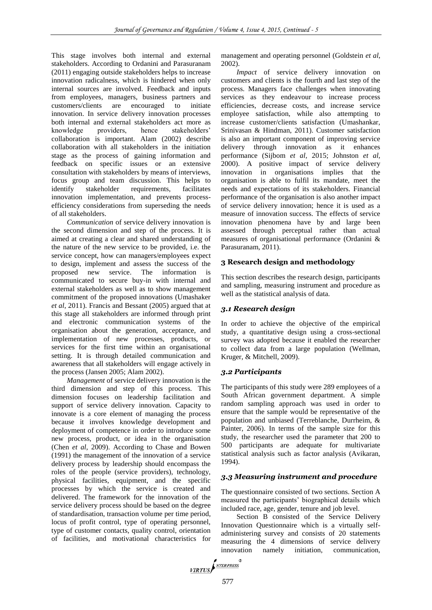This stage involves both internal and external stakeholders. According to Ordanini and Parasuranam (2011) engaging outside stakeholders helps to increase innovation radicalness, which is hindered when only internal sources are involved. Feedback and inputs from employees, managers, business partners and customers/clients are encouraged to initiate innovation. In service delivery innovation processes both internal and external stakeholders act more as knowledge providers, hence stakeholders' collaboration is important. Alam (2002) describe collaboration with all stakeholders in the initiation stage as the process of gaining information and feedback on specific issues or an extensive consultation with stakeholders by means of interviews, focus group and team discussion. This helps to identify stakeholder requirements, facilitates innovation implementation, and prevents processefficiency considerations from superseding the needs of all stakeholders.

*Communication* of service delivery innovation is the second dimension and step of the process. It is aimed at creating a clear and shared understanding of the nature of the new service to be provided, i.e. the service concept, how can managers/employees expect to design, implement and assess the success of the proposed new service. The information is communicated to secure buy-in with internal and external stakeholders as well as to show management commitment of the proposed innovations (Umashaker *et al*, 2011). Francis and Bessant (2005) argued that at this stage all stakeholders are informed through print and electronic communication systems of the organisation about the generation, acceptance, and implementation of new processes, products, or services for the first time within an organisational setting. It is through detailed communication and awareness that all stakeholders will engage actively in the process (Jansen 2005; Alam 2002).

*Management* of service delivery innovation is the third dimension and step of this process. This dimension focuses on leadership facilitation and support of service delivery innovation. Capacity to innovate is a core element of managing the process because it involves knowledge development and deployment of competence in order to introduce some new process, product, or idea in the organisation (Chen *et al*, 2009). According to Chase and Bowen (1991) the management of the innovation of a service delivery process by leadership should encompass the roles of the people (service providers), technology, physical facilities, equipment, and the specific processes by which the service is created and delivered. The framework for the innovation of the service delivery process should be based on the degree of standardisation, transaction volume per time period, locus of profit control, type of operating personnel, type of customer contacts, quality control, orientation of facilities, and motivational characteristics for

management and operating personnel (Goldstein *et al*, 2002).

*Impact* of service delivery innovation on customers and clients is the fourth and last step of the process. Managers face challenges when innovating services as they endeavour to increase process efficiencies, decrease costs, and increase service employee satisfaction, while also attempting to increase customer/clients satisfaction (Umashankar, Srinivasan & Hindman, 2011). Customer satisfaction is also an important component of improving service delivery through innovation as it enhances performance (Sijbom *et al,* 2015; Johnston *et al,* 2000). A positive impact of service delivery innovation in organisations implies that the organisation is able to fulfil its mandate, meet the needs and expectations of its stakeholders. Financial performance of the organisation is also another impact of service delivery innovation; hence it is used as a measure of innovation success. The effects of service innovation phenomena have by and large been assessed through perceptual rather than actual measures of organisational performance (Ordanini & Parasuranam, 2011).

## **3 Research design and methodology**

This section describes the research design, participants and sampling, measuring instrument and procedure as well as the statistical analysis of data.

## *3.1 Research design*

In order to achieve the objective of the empirical study, a quantitative design using a cross-sectional survey was adopted because it enabled the researcher to collect data from a large population (Wellman, Kruger, & Mitchell, 2009).

## *3.2 Participants*

The participants of this study were 289 employees of a South African government department. A simple random sampling approach was used in order to ensure that the sample would be representative of the population and unbiased (Terreblanche, Durrheim, & Painter, 2006). In terms of the sample size for this study, the researcher used the parameter that 200 to 500 participants are adequate for multivariate statistical analysis such as factor analysis (Avikaran, 1994).

## *3.3 Measuring instrument and procedure*

The questionnaire consisted of two sections. Section A measured the participants' biographical details which included race, age, gender, tenure and job level.

Section B consisted of the Service Delivery Innovation Questionnaire which is a virtually selfadministering survey and consists of 20 statements measuring the 4 dimensions of service delivery innovation namely initiation, communication,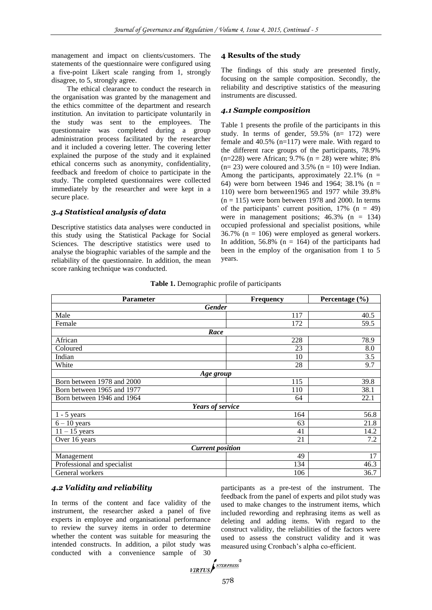management and impact on clients/customers. The statements of the questionnaire were configured using a five-point Likert scale ranging from 1, strongly disagree, to 5, strongly agree.

The ethical clearance to conduct the research in the organisation was granted by the management and the ethics committee of the department and research institution. An invitation to participate voluntarily in the study was sent to the employees. The questionnaire was completed during a group administration process facilitated by the researcher and it included a covering letter. The covering letter explained the purpose of the study and it explained ethical concerns such as anonymity, confidentiality, feedback and freedom of choice to participate in the study. The completed questionnaires were collected immediately by the researcher and were kept in a secure place.

## *3.4 Statistical analysis of data*

Descriptive statistics data analyses were conducted in this study using the Statistical Package for Social Sciences. The descriptive statistics were used to analyse the biographic variables of the sample and the reliability of the questionnaire. In addition, the mean score ranking technique was conducted.

## **4 Results of the study**

The findings of this study are presented firstly, focusing on the sample composition. Secondly, the reliability and descriptive statistics of the measuring instruments are discussed.

#### *4.1 Sample composition*

Table 1 presents the profile of the participants in this study. In terms of gender,  $59.5\%$  (n= 172) were female and 40.5% (n=117) were male. With regard to the different race groups of the participants, 78.9%  $(n=228)$  were African; 9.7% (n = 28) were white; 8%  $(n= 23)$  were coloured and 3.5%  $(n = 10)$  were Indian. Among the participants, approximately  $22.1\%$  (n = 64) were born between 1946 and 1964; 38.1% (n = 110) were born between1965 and 1977 while 39.8%  $(n = 115)$  were born between 1978 and 2000. In terms of the participants' current position,  $17\%$  (n = 49) were in management positions;  $46.3\%$  (n = 134) occupied professional and specialist positions, while  $36.7\%$  (n = 106) were employed as general workers. In addition,  $56.8\%$  (n = 164) of the participants had been in the employ of the organisation from 1 to 5 years.

| <b>Parameter</b>            | <b>Frequency</b>        | Percentage $(\% )$ |  |  |  |
|-----------------------------|-------------------------|--------------------|--|--|--|
| <b>Gender</b>               |                         |                    |  |  |  |
| Male                        | 117                     | 40.5               |  |  |  |
| Female                      | 172                     | 59.5               |  |  |  |
| Race                        |                         |                    |  |  |  |
| African                     | 228                     | 78.9               |  |  |  |
| Coloured                    | 23                      | 8.0                |  |  |  |
| Indian                      | 10                      | 3.5                |  |  |  |
| White                       | 28                      | 9.7                |  |  |  |
|                             | Age group               |                    |  |  |  |
| Born between 1978 and 2000  | 115                     | 39.8               |  |  |  |
| Born between 1965 and 1977  | 110                     | 38.1               |  |  |  |
| Born between 1946 and 1964  | 64                      | 22.1               |  |  |  |
|                             | Years of service        |                    |  |  |  |
| $1 - 5$ years               | 164                     | 56.8               |  |  |  |
| $6 - 10$ years              | 63                      | 21.8               |  |  |  |
| $11 - 15$ years             | 41                      | 14.2               |  |  |  |
| Over 16 years               | 21                      | 7.2                |  |  |  |
|                             | <b>Current position</b> |                    |  |  |  |
| Management                  | 49                      | 17                 |  |  |  |
| Professional and specialist | 134                     | 46.3               |  |  |  |
| General workers             | 106                     | 36.7               |  |  |  |

**Table 1.** Demographic profile of participants

# *4.2 Validity and reliability*

In terms of the content and face validity of the instrument, the researcher asked a panel of five experts in employee and organisational performance to review the survey items in order to determine whether the content was suitable for measuring the intended constructs. In addition, a pilot study was conducted with a convenience sample of 30 participants as a pre-test of the instrument. The feedback from the panel of experts and pilot study was used to make changes to the instrument items, which included rewording and rephrasing items as well as deleting and adding items. With regard to the construct validity, the reliabilities of the factors were used to assess the construct validity and it was measured using Cronbach's alpha co-efficient.

$$
\sqrt{IRTUS} \left( \frac{NTERPRESS}{NTERPRESS} \right)
$$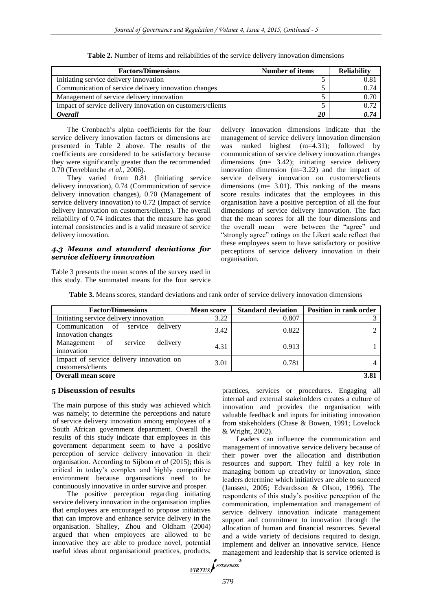| <b>Factors/Dimensions</b>                                  | Number of items | <b>Reliability</b> |
|------------------------------------------------------------|-----------------|--------------------|
| Initiating service delivery innovation                     |                 | 0.8                |
| Communication of service delivery innovation changes       |                 | 0.74               |
| Management of service delivery innovation                  |                 | 0.70               |
| Impact of service delivery innovation on customers/clients |                 | 0.72               |
| Overall                                                    |                 | 0.74               |

**Table 2.** Number of items and reliabilities of the service delivery innovation dimensions

The Cronbach's alpha coefficients for the four service delivery innovation factors or dimensions are presented in Table 2 above. The results of the coefficients are considered to be satisfactory because they were significantly greater than the recommended 0.70 (Terreblanche *et al.*, 2006).

They varied from 0.81 (Initiating service delivery innovation), 0.74 (Communication of service delivery innovation changes), 0.70 (Management of service delivery innovation) to 0.72 (Impact of service delivery innovation on customers/clients). The overall reliability of 0.74 indicates that the measure has good internal consistencies and is a valid measure of service delivery innovation.

# *4.3 Means and standard deviations for service delivery innovation*

Table 3 presents the mean scores of the survey used in this study. The summated means for the four service delivery innovation dimensions indicate that the management of service delivery innovation dimension was ranked highest (m=4.31); followed by communication of service delivery innovation changes dimensions (m= 3.42); initiating service delivery innovation dimension (m=3.22) and the impact of service delivery innovation on customers/clients dimensions (m= 3.01). This ranking of the means score results indicates that the employees in this organisation have a positive perception of all the four dimensions of service delivery innovation. The fact that the mean scores for all the four dimensions and the overall mean were between the "agree" and "strongly agree" ratings on the Likert scale reflect that these employees seem to have satisfactory or positive perceptions of service delivery innovation in their organisation.

| <b>Factor/Dimensions</b>                                      | <b>Mean score</b> | <b>Standard deviation</b> | Position in rank order |
|---------------------------------------------------------------|-------------------|---------------------------|------------------------|
| Initiating service delivery innovation                        | 3.22              | 0.807                     |                        |
| Communication of service delivery<br>innovation changes       | 3.42              | 0.822                     |                        |
| Management of service<br>delivery<br>innovation               | 4.31              | 0.913                     |                        |
| Impact of service delivery innovation on<br>customers/clients | 3.01              | 0.781                     |                        |
| <b>Overall mean score</b>                                     |                   |                           | 3.81                   |

**Table 3.** Means scores, standard deviations and rank order of service delivery innovation dimensions

#### **5 Discussion of results**

The main purpose of this study was achieved which was namely; to determine the perceptions and nature of service delivery innovation among employees of a South African government department. Overall the results of this study indicate that employees in this government department seem to have a positive perception of service delivery innovation in their organisation. According to Sijbom *et al* (2015); this is critical in today's complex and highly competitive environment because organisations need to be continuously innovative in order survive and prosper.

The positive perception regarding initiating service delivery innovation in the organisation implies that employees are encouraged to propose initiatives that can improve and enhance service delivery in the organisation. Shalley, Zhou and Oldham (2004) argued that when employees are allowed to be innovative they are able to produce novel, potential useful ideas about organisational practices, products,

practices, services or procedures. Engaging all internal and external stakeholders creates a culture of innovation and provides the organisation with valuable feedback and inputs for initiating innovation from stakeholders (Chase & Bowen, 1991; Lovelock & Wright, 2002).

Leaders can influence the communication and management of innovative service delivery because of their power over the allocation and distribution resources and support. They fulfil a key role in managing bottom up creativity or innovation, since leaders determine which initiatives are able to succeed (Janssen, 2005; Edvardsson & Olson, 1996). The respondents of this study's positive perception of the communication, implementation and management of service delivery innovation indicate management support and commitment to innovation through the allocation of human and financial resources. Several and a wide variety of decisions required to design, implement and deliver an innovative service. Hence management and leadership that is service oriented is